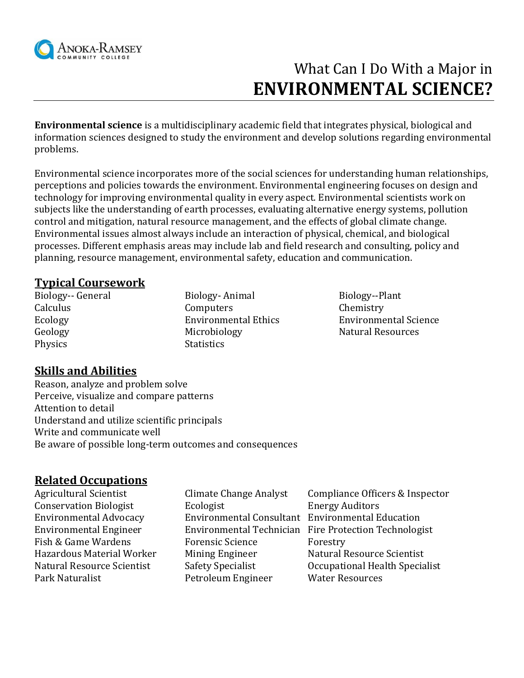

# What Can I Do With a Major in **ENVIRONMENTAL SCIENCE?**

**Environmental science** is a multidisciplinary [academic field](http://en.wikipedia.org/wiki/Academic_field) that integrates physical, biological and information sciences designed to study the environment and develop solutions regarding environmental problems.

[Environmental science](http://en.wikipedia.org/wiki/Environmental_studies) incorporates more of the social sciences for understanding human relationships, perceptions and policies towards the environment. Environmental engineering focuses on design and technology for improving environmental quality in every aspect. Environmental scientists work on subjects like the understanding of earth processes, evaluating alternative energy systems, pollution control and mitigation, [natural resource management,](http://en.wikipedia.org/wiki/Natural_resource_management) and the effects of [global climate change.](http://en.wikipedia.org/wiki/Global_climate_change) [Environmental issues](http://en.wikipedia.org/wiki/Environmental_issues) almost always include an interaction of physical, chemical, and biological processes. Different emphasis areas may include lab and field research and consulting, policy and planning, resource management, environmental safety, education and communication.

#### **Typical Coursework**

Physics Statistics

Biology-- General Biology- Animal Biology--Plant Calculus Computers Computers Chemistry Geology **Microbiology** Microbiology **Natural Resources** 

Ecology Environmental Ethics Environmental Science

# **Skills and Abilities**

Reason, analyze and problem solve Perceive, visualize and compare patterns Attention to detail Understand and utilize scientific principals Write and communicate well Be aware of possible long-term outcomes and consequences

#### **Related Occupations**

| Agricultural Scientist        | Climate Change Analyst                           | Compliance Officers & Inspector                       |
|-------------------------------|--------------------------------------------------|-------------------------------------------------------|
| <b>Conservation Biologist</b> | Ecologist                                        | <b>Energy Auditors</b>                                |
| <b>Environmental Advocacy</b> | Environmental Consultant Environmental Education |                                                       |
| <b>Environmental Engineer</b> |                                                  | Environmental Technician Fire Protection Technologist |
| Fish & Game Wardens           | <b>Forensic Science</b>                          | Forestry                                              |
| Hazardous Material Worker     | Mining Engineer                                  | Natural Resource Scientist                            |
| Natural Resource Scientist    | <b>Safety Specialist</b>                         | Occupational Health Specialist                        |
| Park Naturalist               | Petroleum Engineer                               | <b>Water Resources</b>                                |
|                               |                                                  |                                                       |